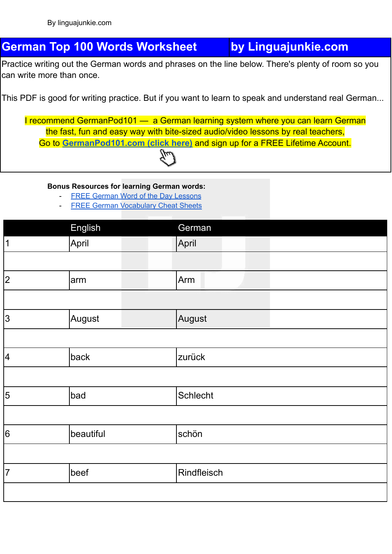## **German Top 100 Words Worksheet by Linguajunkie.com**

Practice writing out the German words and phrases on the line below. There's plenty of room so you can write more than once.

This PDF is good for writing practice. But if you want to learn to speak and understand real German...

I recommend GermanPod101 — a German learning system where you can learn German the fast, fun and easy way with bite-sized audio/video lessons by real teachers, Go to **[GermanPod101.com](https://www.germanpod101.com/member/go.php?r=270096&l=uggcf%3A%2F%2Fjjj.treznacbq101.pbz%2F%3Ffep%3Dyvathnwhaxvr-trezna-jbexobbxyvax) (click here)** and sign up for a FREE Lifetime Account.

## **Bonus Resources for learning German words:**

- FREE German Word of the Day [Lessons](https://www.germanpod101.com/member/go.php?r=270096&l=uggcf%3A%2F%2Fjjj.treznacbq101.pbz%2Ftrezna-cuenfrf%3Ffep%3Dyvathnwhaxvr-trezna-jbexobbxyvaxJBGQ)
- FREE German [Vocabulary](https://www.germanpod101.com/member/go.php?r=270096&l=uggcf%3A%2F%2Fjjj.treznacbq101.pbz%2Fyrnea-jvgu-cqs%3Ffep%3Dyvathnwhaxvr-trezna-jbexobbxyvaxCQS) Cheat Sheets

|                             | English   | German          |  |
|-----------------------------|-----------|-----------------|--|
| $\sqrt{1}$                  | April     | April           |  |
|                             |           |                 |  |
| $\overline{\left 2\right }$ | arm       | Arm             |  |
|                             |           |                 |  |
| $\overline{3}$              | August    | August          |  |
|                             |           |                 |  |
| $\boxed{4}$                 | back      | zurück          |  |
|                             |           |                 |  |
| $\overline{5}$              | bad       | <b>Schlecht</b> |  |
|                             |           |                 |  |
| $\overline{6}$              | beautiful | schön           |  |
|                             |           |                 |  |
| $\overline{7}$              | beef      | Rindfleisch     |  |
|                             |           |                 |  |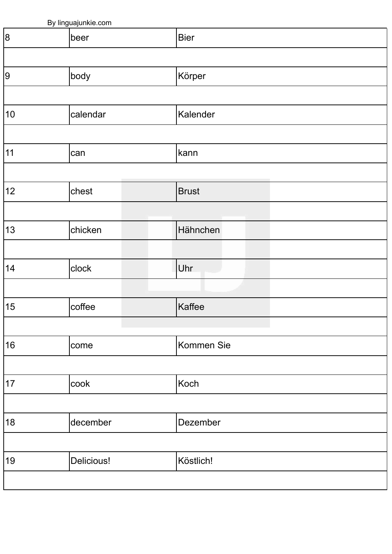| By linguajunkie.com |  |  |  |  |  |
|---------------------|--|--|--|--|--|
|---------------------|--|--|--|--|--|

| ╯  | <u><u>v</u></u> |              |  |
|----|-----------------|--------------|--|
| 8  | beer            | Bier         |  |
|    |                 |              |  |
| 9  | body            | Körper       |  |
|    |                 |              |  |
| 10 | calendar        | Kalender     |  |
|    |                 |              |  |
| 11 | can             | kann         |  |
|    |                 |              |  |
| 12 | chest           | <b>Brust</b> |  |
|    |                 |              |  |
| 13 | chicken         | Hähnchen     |  |
|    |                 |              |  |
| 14 | clock           | Uhr          |  |
|    |                 |              |  |
| 15 | coffee          | Kaffee       |  |
|    |                 |              |  |
| 16 | come            | Kommen Sie   |  |
|    |                 |              |  |
| 17 | cook            | Koch         |  |
|    |                 |              |  |
| 18 | december        | Dezember     |  |
|    |                 |              |  |
| 19 | Delicious!      | Köstlich!    |  |
|    |                 |              |  |
|    |                 |              |  |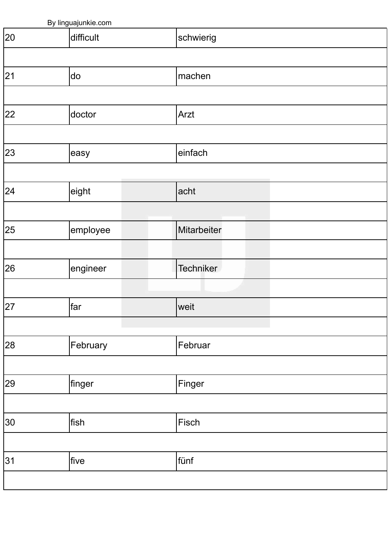|    | By linguajunkie.com |      |             |        |  |  |  |
|----|---------------------|------|-------------|--------|--|--|--|
| 20 | difficult           |      |             |        |  |  |  |
|    |                     |      |             |        |  |  |  |
| 21 | do                  |      | machen      |        |  |  |  |
|    |                     |      |             |        |  |  |  |
| 22 | doctor              |      | Arzt        |        |  |  |  |
|    |                     |      |             |        |  |  |  |
| 23 | easy                |      | einfach     |        |  |  |  |
|    |                     |      |             |        |  |  |  |
| 24 | eight               |      | acht        |        |  |  |  |
|    |                     |      |             |        |  |  |  |
| 25 | employee            |      | Mitarbeiter |        |  |  |  |
|    |                     |      |             |        |  |  |  |
| 26 | engineer            |      | Techniker   |        |  |  |  |
|    |                     |      |             |        |  |  |  |
| 27 | far                 |      | weit        |        |  |  |  |
|    |                     |      |             |        |  |  |  |
| 28 | February            |      | Februar     |        |  |  |  |
|    |                     |      |             |        |  |  |  |
| 29 | finger              |      |             | Finger |  |  |  |
|    |                     |      |             |        |  |  |  |
| 30 | fish                |      |             | Fisch  |  |  |  |
|    |                     |      |             |        |  |  |  |
| 31 | five                | fünf |             |        |  |  |  |
|    |                     |      |             |        |  |  |  |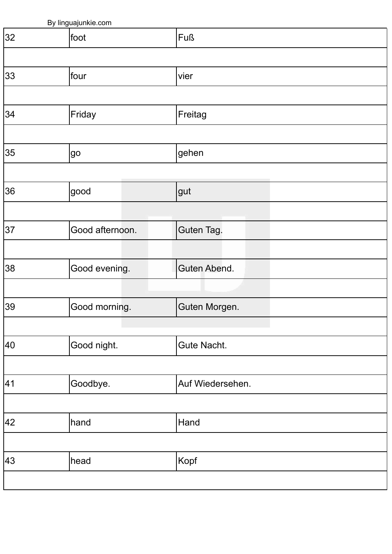|    | By linguajunkie.com |                  |  |  |  |  |
|----|---------------------|------------------|--|--|--|--|
| 32 | foot                | Fuß              |  |  |  |  |
|    |                     |                  |  |  |  |  |
| 33 | four                | vier             |  |  |  |  |
|    |                     |                  |  |  |  |  |
| 34 | Friday              | Freitag          |  |  |  |  |
|    |                     |                  |  |  |  |  |
| 35 | go                  | gehen            |  |  |  |  |
|    |                     |                  |  |  |  |  |
| 36 | good                | gut              |  |  |  |  |
|    |                     |                  |  |  |  |  |
| 37 | Good afternoon.     | Guten Tag.       |  |  |  |  |
|    |                     |                  |  |  |  |  |
| 38 | Good evening.       | Guten Abend.     |  |  |  |  |
|    |                     |                  |  |  |  |  |
| 39 | Good morning.       | Guten Morgen.    |  |  |  |  |
|    |                     |                  |  |  |  |  |
| 40 | Good night.         | Gute Nacht.      |  |  |  |  |
|    |                     |                  |  |  |  |  |
| 41 | Goodbye.            | Auf Wiedersehen. |  |  |  |  |
|    |                     |                  |  |  |  |  |
| 42 | hand                | Hand             |  |  |  |  |
|    |                     |                  |  |  |  |  |
| 43 | head                | Kopf             |  |  |  |  |
|    |                     |                  |  |  |  |  |
|    |                     |                  |  |  |  |  |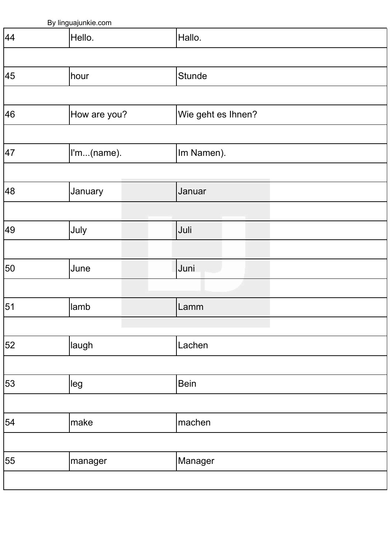| By linguajunkie.com |  |                            |  |  |  |
|---------------------|--|----------------------------|--|--|--|
| Hello.              |  | Hallo.                     |  |  |  |
|                     |  |                            |  |  |  |
| hour                |  | Stunde                     |  |  |  |
|                     |  |                            |  |  |  |
|                     |  | Wie geht es Ihnen?         |  |  |  |
|                     |  |                            |  |  |  |
|                     |  | Im Namen).                 |  |  |  |
|                     |  |                            |  |  |  |
| January             |  | Januar                     |  |  |  |
|                     |  |                            |  |  |  |
| July                |  | Juli                       |  |  |  |
|                     |  |                            |  |  |  |
| June                |  | Juni                       |  |  |  |
|                     |  |                            |  |  |  |
| lamb                |  | Lamm                       |  |  |  |
|                     |  |                            |  |  |  |
| laugh               |  | Lachen                     |  |  |  |
|                     |  |                            |  |  |  |
| leg                 |  | <b>Bein</b>                |  |  |  |
|                     |  |                            |  |  |  |
| make                |  | machen                     |  |  |  |
|                     |  |                            |  |  |  |
| manager             |  | Manager                    |  |  |  |
|                     |  |                            |  |  |  |
|                     |  | How are you?<br>I'm(name). |  |  |  |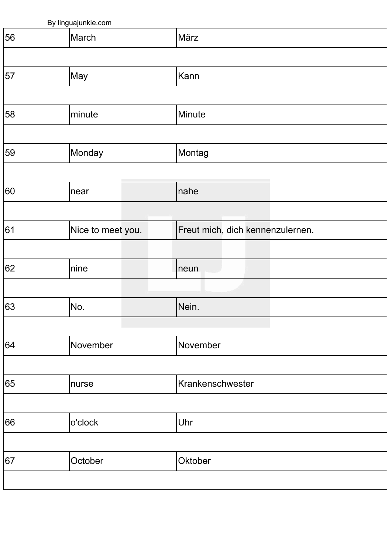|    | By linguajunkie.com |                                  |
|----|---------------------|----------------------------------|
| 56 | March               | März                             |
|    |                     |                                  |
| 57 | May                 | Kann                             |
|    |                     |                                  |
| 58 | minute              | Minute                           |
|    |                     |                                  |
| 59 | Monday              | Montag                           |
|    |                     |                                  |
| 60 | near                | nahe                             |
|    |                     |                                  |
| 61 | Nice to meet you.   | Freut mich, dich kennenzulernen. |
|    |                     |                                  |
| 62 | nine                | neun                             |
|    |                     |                                  |
| 63 | No.                 | Nein.                            |
|    |                     |                                  |
| 64 | November            | November                         |
|    |                     |                                  |
| 65 | nurse               | Krankenschwester                 |
|    |                     |                                  |
| 66 | o'clock             | Uhr                              |
|    |                     |                                  |
| 67 | October             | Oktober                          |
|    |                     |                                  |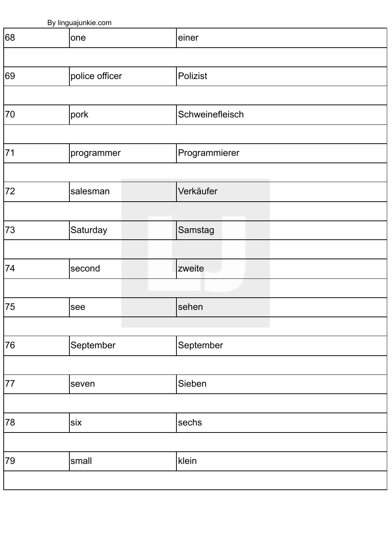|    | By linguajunkie.com |  |               |                 |  |  |  |
|----|---------------------|--|---------------|-----------------|--|--|--|
| 68 | one                 |  |               |                 |  |  |  |
|    |                     |  |               |                 |  |  |  |
| 69 | police officer      |  | Polizist      |                 |  |  |  |
|    |                     |  |               |                 |  |  |  |
| 70 | pork                |  |               | Schweinefleisch |  |  |  |
|    |                     |  |               |                 |  |  |  |
| 71 | programmer          |  | Programmierer |                 |  |  |  |
|    |                     |  |               |                 |  |  |  |
| 72 | salesman            |  | Verkäufer     |                 |  |  |  |
|    |                     |  |               |                 |  |  |  |
| 73 | Saturday            |  | Samstag       |                 |  |  |  |
|    |                     |  |               |                 |  |  |  |
| 74 | second              |  | zweite        |                 |  |  |  |
|    |                     |  |               |                 |  |  |  |
| 75 | see                 |  | sehen         |                 |  |  |  |
|    |                     |  |               |                 |  |  |  |
| 76 | September           |  |               | September       |  |  |  |
|    |                     |  |               |                 |  |  |  |
| 77 | seven               |  |               | Sieben          |  |  |  |
|    |                     |  |               |                 |  |  |  |
| 78 | six                 |  |               | sechs           |  |  |  |
|    |                     |  |               |                 |  |  |  |
| 79 | small               |  | klein         |                 |  |  |  |
|    |                     |  |               |                 |  |  |  |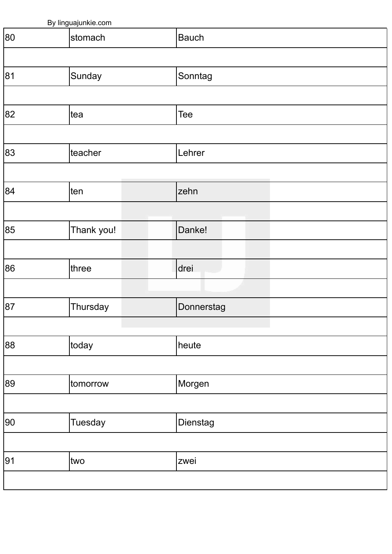|    | By linguajunkie.com |              |
|----|---------------------|--------------|
| 80 | stomach             | <b>Bauch</b> |
|    |                     |              |
| 81 | Sunday              | Sonntag      |
|    |                     |              |
| 82 | tea                 | Tee          |
|    |                     |              |
| 83 | teacher             | Lehrer       |
|    |                     |              |
| 84 | ten                 | zehn         |
|    |                     |              |
| 85 | Thank you!          | Danke!       |
|    |                     |              |
| 86 | three               | drei         |
|    |                     |              |
| 87 | Thursday            | Donnerstag   |
|    |                     |              |
| 88 | today               | heute        |
|    |                     |              |
| 89 | tomorrow            | Morgen       |
|    |                     |              |
| 90 | <b>Tuesday</b>      | Dienstag     |
|    |                     |              |
| 91 | two                 | zwei         |
|    |                     |              |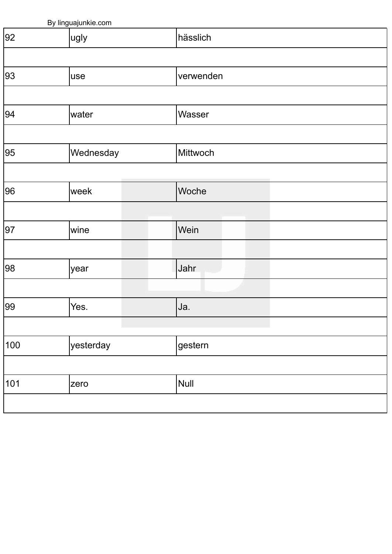| By linguajunkie.com |           |  |           |  |  |
|---------------------|-----------|--|-----------|--|--|
| $\overline{92}$     | ugly      |  | hässlich  |  |  |
|                     |           |  |           |  |  |
| 93                  | use       |  | verwenden |  |  |
|                     |           |  |           |  |  |
| 94                  | water     |  | Wasser    |  |  |
|                     |           |  |           |  |  |
| 95                  | Wednesday |  | Mittwoch  |  |  |
|                     |           |  |           |  |  |
| 96                  | week      |  | Woche     |  |  |
|                     |           |  |           |  |  |
| 97                  | wine      |  | Wein      |  |  |
|                     |           |  |           |  |  |
| 98                  | year      |  | Jahr      |  |  |
|                     |           |  |           |  |  |
| 99                  | Yes.      |  | Ja.       |  |  |
|                     |           |  |           |  |  |
| 100                 | yesterday |  | gestern   |  |  |
|                     |           |  |           |  |  |
| 101                 | zero      |  | Null      |  |  |
|                     |           |  |           |  |  |
|                     |           |  |           |  |  |